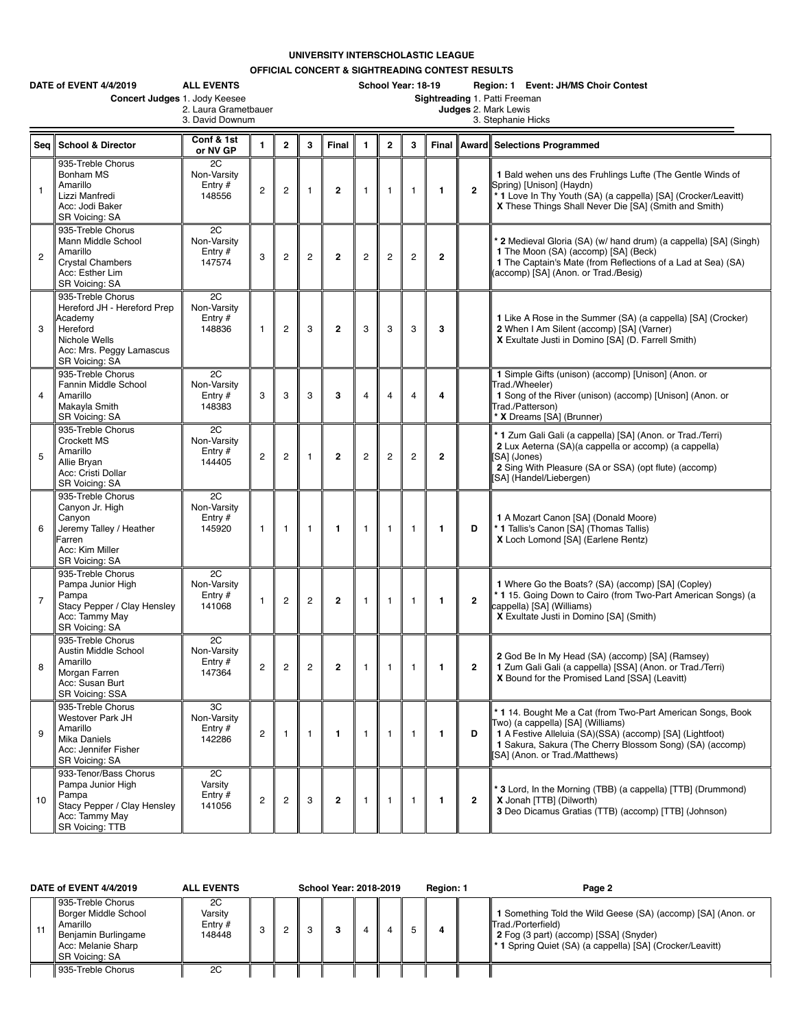**UNIVERSITY INTERSCHOLASTIC LEAGUE**

**OFFICIAL CONCERT & SIGHTREADING CONTEST RESULTS**

|                | DATE of EVENT 4/4/2019<br>Concert Judges 1. Jody Keesee                                                                                | <b>ALL EVENTS</b><br>2. Laura Grametbauer<br>3. David Downum |                |                |                |                | School Year: 18-19<br>Region: 1 Event: JH/MS Choir Contest<br>Sightreading 1. Patti Freeman<br>Judges 2. Mark Lewis<br>3. Stephanie Hicks |                |                |                |                |                                                                                                                                                                                                                                                           |  |  |  |
|----------------|----------------------------------------------------------------------------------------------------------------------------------------|--------------------------------------------------------------|----------------|----------------|----------------|----------------|-------------------------------------------------------------------------------------------------------------------------------------------|----------------|----------------|----------------|----------------|-----------------------------------------------------------------------------------------------------------------------------------------------------------------------------------------------------------------------------------------------------------|--|--|--|
| Seq            | <b>School &amp; Director</b>                                                                                                           | Conf & 1st<br>or NV GP                                       | $\mathbf{1}$   | $\overline{2}$ | 3              | Final          | $\mathbf{1}$                                                                                                                              | $\overline{2}$ | 3              |                |                | Final Award Selections Programmed                                                                                                                                                                                                                         |  |  |  |
| 1              | 935-Treble Chorus<br>Bonham MS<br>Amarillo<br>Lizzi Manfredi<br>Acc: Jodi Baker<br>SR Voicing: SA                                      | 2C<br>Non-Varsity<br>Entry $#$<br>148556                     | $\overline{c}$ | $\overline{2}$ | $\mathbf{1}$   | $\overline{2}$ | $\mathbf{1}$                                                                                                                              | $\mathbf{1}$   | $\mathbf{1}$   | 1              | $\overline{2}$ | 1 Bald wehen uns des Fruhlings Lufte (The Gentle Winds of<br>Spring) [Unison] (Haydn)<br>*1 Love In Thy Youth (SA) (a cappella) [SA] (Crocker/Leavitt)<br>X These Things Shall Never Die [SA] (Smith and Smith)                                           |  |  |  |
| $\overline{c}$ | 935-Treble Chorus<br>Mann Middle School<br>Amarillo<br><b>Crystal Chambers</b><br>Acc: Esther Lim<br>SR Voicing: SA                    | 2C<br>Non-Varsity<br>Entry $#$<br>147574                     | 3              | $\overline{2}$ | $\overline{c}$ | $\overline{2}$ | $\overline{2}$                                                                                                                            | $\overline{c}$ | $\overline{c}$ | $\mathbf{2}$   |                | <sup>*</sup> 2 Medieval Gloria (SA) (w/ hand drum) (a cappella) [SA] (Singh)<br>1 The Moon (SA) (accomp) [SA] (Beck)<br>1 The Captain's Mate (from Reflections of a Lad at Sea) (SA)<br>(accomp) [SA] (Anon. or Trad./Besig)                              |  |  |  |
| 3              | 935-Treble Chorus<br>Hereford JH - Hereford Prep<br>Academy<br>Hereford<br>Nichole Wells<br>Acc: Mrs. Peggy Lamascus<br>SR Voicing: SA | 2C<br>Non-Varsity<br>Entry $#$<br>148836                     | $\mathbf{1}$   | $\overline{c}$ | 3              | $\overline{2}$ | 3                                                                                                                                         | 3              | 3              | 3              |                | 1 Like A Rose in the Summer (SA) (a cappella) [SA] (Crocker)<br>2 When I Am Silent (accomp) [SA] (Varner)<br>X Exultate Justi in Domino [SA] (D. Farrell Smith)                                                                                           |  |  |  |
| 4              | 935-Treble Chorus<br>Fannin Middle School<br>Amarillo<br>Makayla Smith<br>SR Voicing: SA                                               | 2C<br>Non-Varsity<br>Entry $#$<br>148383                     | 3              | 3              | 3              | 3              | $\overline{4}$                                                                                                                            | 4              | $\overline{4}$ | 4              |                | 1 Simple Gifts (unison) (accomp) [Unison] (Anon. or<br>Trad./Wheeler)<br>1 Song of the River (unison) (accomp) [Unison] (Anon. or<br>Trad./Patterson)<br>X Dreams [SA] (Brunner)                                                                          |  |  |  |
| 5              | 935-Treble Chorus<br><b>Crockett MS</b><br>Amarillo<br>Allie Bryan<br>Acc: Cristi Dollar<br>SR Voicing: SA                             | 2C<br>Non-Varsity<br>Entry $#$<br>144405                     | $\overline{c}$ | 2              | 1              | $\mathbf{2}$   | $\overline{c}$                                                                                                                            | $\overline{c}$ | $\overline{2}$ | $\overline{2}$ |                | * 1 Zum Gali Gali (a cappella) [SA] (Anon. or Trad./Terri)<br>2 Lux Aeterna (SA)(a cappella or accomp) (a cappella)<br>SAI (Jones)<br>2 Sing With Pleasure (SA or SSA) (opt flute) (accomp)<br>SA] (Handel/Liebergen)                                     |  |  |  |
| 6              | 935-Treble Chorus<br>Canyon Jr. High<br>Canyon<br>Jeremy Talley / Heather<br>Farren<br>Acc: Kim Miller<br>SR Voicing: SA               | 2C<br>Non-Varsity<br>Entry $#$<br>145920                     | $\mathbf{1}$   | $\mathbf{1}$   | 1              | $\mathbf{1}$   | $\mathbf{1}$                                                                                                                              | 1              | $\mathbf{1}$   | $\mathbf{1}$   | D              | 1 A Mozart Canon [SA] (Donald Moore)<br>* 1 Tallis's Canon [SA] (Thomas Tallis)<br>X Loch Lomond [SA] (Earlene Rentz)                                                                                                                                     |  |  |  |
| $\overline{7}$ | 935-Treble Chorus<br>Pampa Junior High<br>Pampa<br>Stacy Pepper / Clay Hensley<br>Acc: Tammy May<br>SR Voicing: SA                     | 2C<br>Non-Varsity<br>Entry $#$<br>141068                     | $\mathbf{1}$   | $\overline{c}$ | $\overline{c}$ | $\mathbf{2}$   | 1                                                                                                                                         | 1              | $\mathbf{1}$   | $\mathbf{1}$   | $\overline{2}$ | 1 Where Go the Boats? (SA) (accomp) [SA] (Copley)<br>*115. Going Down to Cairo (from Two-Part American Songs) (a<br>cappella) [SA] (Williams)<br>X Exultate Justi in Domino [SA] (Smith)                                                                  |  |  |  |
| 8              | 935-Treble Chorus<br>Austin Middle School<br>Amarillo<br>Morgan Farren<br>Acc: Susan Burt<br>SR Voicing: SSA                           | 2C<br>Non-Varsity<br>Entry #<br>147364                       | $\overline{c}$ | $\overline{c}$ | $\overline{c}$ | $\mathbf{2}$   | 1                                                                                                                                         | $\mathbf{1}$   | -1             | 1              | $\overline{2}$ | 2 God Be In My Head (SA) (accomp) [SA] (Ramsey)<br>1 Zum Gali Gali (a cappella) [SSA] (Anon. or Trad./Terri)<br>X Bound for the Promised Land [SSA] (Leavitt)                                                                                             |  |  |  |
| 9              | 935-Treble Chorus<br>Westover Park JH<br>Amarillo<br>Mika Daniels<br>Acc: Jennifer Fisher<br><b>SR Voicing: SA</b>                     | 3C<br>Non-Varsity<br>Entry $#$<br>142286                     | $\overline{c}$ | $\mathbf{1}$   | $\mathbf{1}$   | $\mathbf{1}$   | $\mathbf{1}$                                                                                                                              | $\mathbf{1}$   | $\mathbf{1}$   | 1              | D              | * 1 14. Bought Me a Cat (from Two-Part American Songs, Book<br>Two) (a cappella) [SA] (Williams)<br>1 A Festive Alleluia (SA)(SSA) (accomp) [SA] (Lightfoot)<br>1 Sakura, Sakura (The Cherry Blossom Song) (SA) (accomp)<br>SA] (Anon. or Trad./Matthews) |  |  |  |
| 10             | 933-Tenor/Bass Chorus<br>Pampa Junior High<br>Pampa<br>Stacy Pepper / Clay Hensley<br>Acc: Tammy May<br>SR Voicing: TTB                | 2C<br>Varsity<br>Entry $#$<br>141056                         | $\overline{c}$ | $\overline{c}$ | 3              | $\overline{2}$ | $\mathbf{1}$                                                                                                                              | $\mathbf{1}$   | $\mathbf{1}$   | 1              | $\overline{2}$ | <sup>*</sup> 3 Lord, In the Morning (TBB) (a cappella) [TTB] (Drummond)<br>X Jonah [TTB] (Dilworth)<br>3 Deo Dicamus Gratias (TTB) (accomp) [TTB] (Johnson)                                                                                               |  |  |  |

| DATE of EVENT 4/4/2019 |                                                                                                                             | <b>ALL EVENTS</b>                    |  | School Year: 2018-2019 |  | <b>Region: 1</b> |  | Page 2                                                                                                                                                                                    |  |
|------------------------|-----------------------------------------------------------------------------------------------------------------------------|--------------------------------------|--|------------------------|--|------------------|--|-------------------------------------------------------------------------------------------------------------------------------------------------------------------------------------------|--|
|                        | 935-Treble Chorus<br>Borger Middle School<br>Amarillo<br><b>Benjamin Burlingame</b><br>Acc: Melanie Sharp<br>SR Voicina: SA | 2C<br>Varsitv<br>Entry $#$<br>148448 |  |                        |  |                  |  | 1 Something Told the Wild Geese (SA) (accomp) [SA] (Anon. or<br>Trad./Porterfield)<br>2 Fog (3 part) (accomp) [SSA] (Snyder)<br>* 1 Spring Quiet (SA) (a cappella) [SA] (Crocker/Leavitt) |  |
|                        | 935-Treble Chorus                                                                                                           | 2C                                   |  |                        |  |                  |  |                                                                                                                                                                                           |  |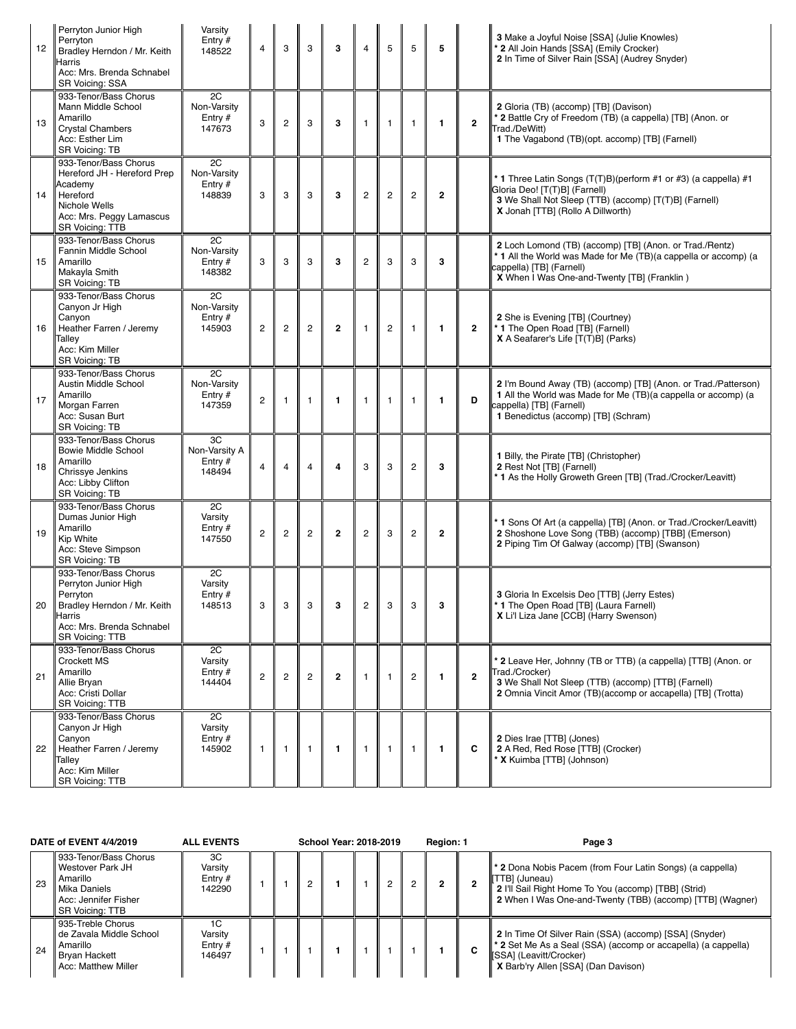| 12 | Perryton Junior High<br>Perryton<br>Bradley Herndon / Mr. Keith<br><b>Harris</b><br>Acc: Mrs. Brenda Schnabel<br>SR Voicing: SSA                          | Varsity<br>Entry $#$<br>148522             | $\overline{4}$ | 3              | 3                       | 3            | $\overline{4}$ | 5              | 5              | 5              |                | 3 Make a Joyful Noise [SSA] (Julie Knowles)<br>* 2 All Join Hands [SSA] (Emily Crocker)<br>2 In Time of Silver Rain [SSA] (Audrey Snyder)                                                              |
|----|-----------------------------------------------------------------------------------------------------------------------------------------------------------|--------------------------------------------|----------------|----------------|-------------------------|--------------|----------------|----------------|----------------|----------------|----------------|--------------------------------------------------------------------------------------------------------------------------------------------------------------------------------------------------------|
| 13 | 933-Tenor/Bass Chorus<br>Mann Middle School<br>Amarillo<br><b>Crystal Chambers</b><br>Acc: Esther Lim<br>SR Voicing: TB                                   | 2C<br>Non-Varsity<br>Entry $#$<br>147673   | 3              | $\overline{2}$ | 3                       | 3            | $\mathbf{1}$   | 1              | $\mathbf{1}$   | 1              | $\mathbf{2}$   | 2 Gloria (TB) (accomp) [TB] (Davison)<br>* 2 Battle Cry of Freedom (TB) (a cappella) [TB] (Anon. or<br>Trad./DeWitt)<br>1 The Vagabond (TB)(opt. accomp) [TB] (Farnell)                                |
| 14 | 933-Tenor/Bass Chorus<br>Hereford JH - Hereford Prep<br>Academy<br>Hereford<br>Nichole Wells<br>Acc: Mrs. Peggy Lamascus<br>SR Voicing: TTB               | 2C<br>Non-Varsity<br>Entry $#$<br>148839   | 3              | 3              | 3                       | 3            | $\overline{c}$ | $\overline{c}$ | $\overline{c}$ | $\mathbf{2}$   |                | * 1 Three Latin Songs (T(T)B)(perform #1 or #3) (a cappella) #1<br>Gloria Deo! [T(T)B] (Farnell)<br>3 We Shall Not Sleep (TTB) (accomp) [T(T)B] (Farnell)<br>X Jonah [TTB] (Rollo A Dillworth)         |
| 15 | 933-Tenor/Bass Chorus<br>Fannin Middle School<br>Amarillo<br>Makayla Smith<br>SR Voicing: TB                                                              | 2C<br>Non-Varsity<br>Entry $#$<br>148382   | 3              | 3              | 3                       | 3            | $\overline{2}$ | 3              | 3              | 3              |                | 2 Loch Lomond (TB) (accomp) [TB] (Anon. or Trad./Rentz)<br>* 1 All the World was Made for Me (TB)(a cappella or accomp) (a<br>cappella) [TB] (Farnell)<br>X When I Was One-and-Twenty [TB] (Franklin)  |
| 16 | 933-Tenor/Bass Chorus<br>Canyon Jr High<br>Canvon<br>Heather Farren / Jeremy<br>Talley<br>Acc: Kim Miller<br>SR Voicing: TB                               | 2C<br>Non-Varsitv<br>Entry $#$<br>145903   | $\overline{c}$ | $\overline{c}$ | $\overline{\mathbf{c}}$ | $\mathbf{2}$ | $\overline{1}$ | $\mathbf{2}$   | $\mathbf{1}$   | 1              | $\overline{2}$ | 2 She is Evening [TB] (Courtney)<br>* 1 The Open Road [TB] (Farnell)<br>X A Seafarer's Life [T(T)B] (Parks)                                                                                            |
| 17 | 933-Tenor/Bass Chorus<br>Austin Middle School<br>Amarillo<br>Morgan Farren<br>Acc: Susan Burt<br><b>SR Voicing: TB</b>                                    | 2C<br>Non-Varsity<br>Entry $#$<br>147359   | $\overline{2}$ | $\mathbf{1}$   | 1                       | $\mathbf{1}$ | $\mathbf{1}$   | 1              | $\mathbf{1}$   | 1              | D              | 2 I'm Bound Away (TB) (accomp) [TB] (Anon. or Trad./Patterson)<br>1 All the World was Made for Me (TB)(a cappella or accomp) (a<br>cappella) [TB] (Farnell)<br>1 Benedictus (accomp) [TB] (Schram)     |
| 18 | 933-Tenor/Bass Chorus<br><b>Bowie Middle School</b><br>Amarillo<br>Chrissye Jenkins<br>Acc: Libby Clifton<br>SR Voicing: TB                               | 3C<br>Non-Varsity A<br>Entry $#$<br>148494 | $\overline{4}$ | $\overline{4}$ | 4                       | 4            | 3              | 3              | $\overline{c}$ | 3              |                | 1 Billy, the Pirate [TB] (Christopher)<br>2 Rest Not [TB] (Farnell)<br>* 1 As the Holly Groweth Green [TB] (Trad./Crocker/Leavitt)                                                                     |
| 19 | 933-Tenor/Bass Chorus<br>Dumas Junior High<br>Amarillo<br>Kip White<br>Acc: Steve Simpson<br>SR Voicing: TB                                               | 2C<br>Varsity<br>Entry $#$<br>147550       | $\overline{c}$ | $\overline{c}$ | $\overline{c}$          | $\mathbf{2}$ | $\overline{c}$ | 3              | $\overline{c}$ | $\overline{2}$ |                | * 1 Sons Of Art (a cappella) [TB] (Anon. or Trad./Crocker/Leavitt)<br>2 Shoshone Love Song (TBB) (accomp) [TBB] (Emerson)<br>2 Piping Tim Of Galway (accomp) [TB] (Swanson)                            |
| 20 | 933-Tenor/Bass Chorus<br>Perryton Junior High<br>Perryton<br>Bradley Herndon / Mr. Keith<br><b>Harris</b><br>Acc: Mrs. Brenda Schnabel<br>SR Voicing: TTB | 2C<br>Varsity<br>Entry $#$<br>148513       | 3              | 3              | 3                       |              |                |                |                |                |                | 3 Gloria In Excelsis Deo [TTB] (Jerry Estes)<br>1 The Open Road [TB] (Laura Farnell)<br>X Li'l Liza Jane [CCB] (Harry Swenson)                                                                         |
| 21 | 933-Tenor/Bass Chorus<br><b>Crockett MS</b><br>Amarillo<br>Allie Bryan<br>Acc: Cristi Dollar<br><b>SR Voicing: TTB</b>                                    | 2C<br>Varsity<br>Entry $#$<br>144404       | $\overline{c}$ | $\overline{c}$ | $\mathbf{2}^{\prime}$   | $\mathbf{2}$ | $\mathbf{1}$   | 1              | $\overline{2}$ | 1              | $\mathbf{2}$   | * 2 Leave Her, Johnny (TB or TTB) (a cappella) [TTB] (Anon. or<br>Trad./Crocker)<br>3 We Shall Not Sleep (TTB) (accomp) [TTB] (Farnell)<br>2 Omnia Vincit Amor (TB)(accomp or accapella) [TB] (Trotta) |
| 22 | 933-Tenor/Bass Chorus<br>Canyon Jr High<br>Canvon<br>Heather Farren / Jeremy<br>Talley<br>Acc: Kim Miller<br>SR Voicing: TTB                              | 2C<br>Varsity<br>Entry $#$<br>145902       | $\mathbf{1}$   | 1              | 1                       | $\mathbf{1}$ | $\mathbf{1}$   | $\mathbf{1}$   | $\mathbf{1}$   | 1              | C              | 2 Dies Irae [TTB] (Jones)<br>2 A Red, Red Rose [TTB] (Crocker)<br>* X Kuimba [TTB] (Johnson)                                                                                                           |

| <b>DATE of EVENT 4/4/2019</b> |                                                                                                                    | <b>ALL EVENTS</b>                    | <b>School Year: 2018-2019</b> |  |  |  |  |  | Region: 1 |   | Page 3                                                                                                                                                                                                    |
|-------------------------------|--------------------------------------------------------------------------------------------------------------------|--------------------------------------|-------------------------------|--|--|--|--|--|-----------|---|-----------------------------------------------------------------------------------------------------------------------------------------------------------------------------------------------------------|
| 23                            | 933-Tenor/Bass Chorus<br>Westover Park JH<br>Amarillo<br>Mika Daniels<br>Acc: Jennifer Fisher<br>l SR Voicina: TTB | ЗC<br>Varsity<br>Entry $#$<br>142290 |                               |  |  |  |  |  | 2         |   | <b>1 * 2</b> Dona Nobis Pacem (from Four Latin Songs) (a cappella)<br>[TTB] (Juneau)<br>2 I'll Sail Right Home To You (accomp) [TBB] (Strid)<br>2 When I Was One-and-Twenty (TBB) (accomp) [TTB] (Wagner) |
| 24                            | 935-Treble Chorus<br>l de Zavala Middle School<br>Amarillo<br><b>Bryan Hackett</b><br>Acc: Matthew Miller          | 1C<br>Varsity<br>Entry $#$<br>146497 |                               |  |  |  |  |  |           | C | 2 In Time Of Silver Rain (SSA) (accomp) [SSA] (Snyder)<br><b>* 2</b> Set Me As a Seal (SSA) (accomp or accapella) (a cappella)<br>[SSA] (Leavitt/Crocker)<br>X Barb'ry Allen [SSA] (Dan Davison)          |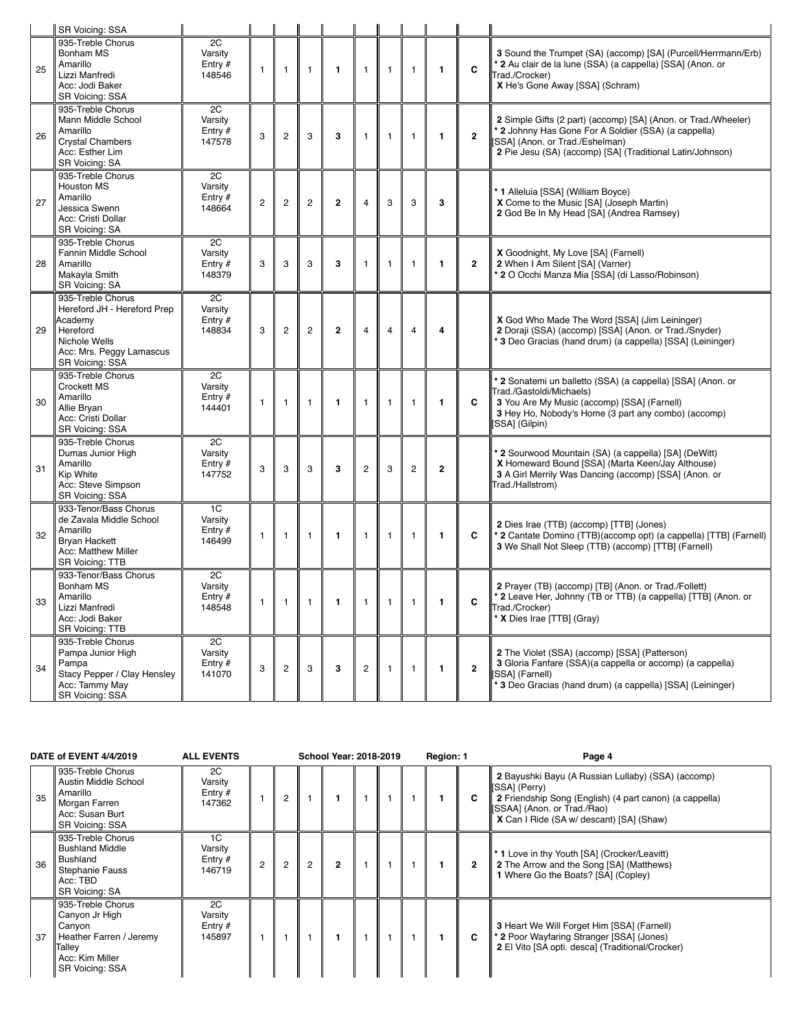|    | SR Voicing: SSA                                                                                                                         |                                      |              |                |                |                |                         |                |                |                |                |                                                                                                                                                                                                                        |
|----|-----------------------------------------------------------------------------------------------------------------------------------------|--------------------------------------|--------------|----------------|----------------|----------------|-------------------------|----------------|----------------|----------------|----------------|------------------------------------------------------------------------------------------------------------------------------------------------------------------------------------------------------------------------|
| 25 | 935-Treble Chorus<br>Bonham MS<br>Amarillo<br>Lizzi Manfredi<br>Acc: Jodi Baker<br><b>SR Voicing: SSA</b>                               | 2C<br>Varsity<br>Entry $#$<br>148546 | $\mathbf{1}$ | $\overline{1}$ | 1              | $\mathbf{1}$   | $\mathbf{1}$            | $\overline{1}$ | $\mathbf{1}$   | $\mathbf{1}$   | C              | 3 Sound the Trumpet (SA) (accomp) [SA] (Purcell/Herrmann/Erb)<br>* 2 Au clair de la lune (SSA) (a cappella) [SSA] (Anon. or<br>Trad./Crocker)<br>X He's Gone Away [SSA] (Schram)                                       |
| 26 | 935-Treble Chorus<br>Mann Middle School<br>Amarillo<br><b>Crystal Chambers</b><br>Acc: Esther Lim<br>SR Voicing: SA                     | 2C<br>Varsity<br>Entry $#$<br>147578 | 3            | $\overline{c}$ | 3              | 3              | $\mathbf{1}$            | $\mathbf{1}$   | $\mathbf{1}$   | $\mathbf{1}$   | $\mathbf{2}$   | 2 Simple Gifts (2 part) (accomp) [SA] (Anon. or Trad./Wheeler)<br>* 2 Johnny Has Gone For A Soldier (SSA) (a cappella)<br>[SSA] (Anon. or Trad./Eshelman)<br>2 Pie Jesu (SA) (accomp) [SA] (Traditional Latin/Johnson) |
| 27 | 935-Treble Chorus<br><b>Houston MS</b><br>Amarillo<br>Jessica Swenn<br>Acc: Cristi Dollar<br>SR Voicing: SA                             | 2C<br>Varsity<br>Entry $#$<br>148664 | $\mathbf{2}$ | $\overline{c}$ | $\overline{c}$ | $\mathbf{2}$   | $\overline{4}$          | 3              | 3              | 3              |                | * 1 Alleluia [SSA] (William Boyce)<br>X Come to the Music [SA] (Joseph Martin)<br>2 God Be In My Head [SA] (Andrea Ramsey)                                                                                             |
| 28 | 935-Treble Chorus<br>Fannin Middle School<br>Amarillo<br>Makayla Smith<br>SR Voicing: SA                                                | 2C<br>Varsity<br>Entry $#$<br>148379 | 3            | 3              | 3              | 3              | $\mathbf{1}$            | $\overline{1}$ | $\mathbf{1}$   | $\mathbf{1}$   | $\overline{2}$ | X Goodnight, My Love [SA] (Farnell)<br>2 When I Am Silent [SA] (Varner)<br>* 2 O Occhi Manza Mia [SSA] (di Lasso/Robinson)                                                                                             |
| 29 | 935-Treble Chorus<br>Hereford JH - Hereford Prep<br>Academy<br>Hereford<br>Nichole Wells<br>Acc: Mrs. Peggy Lamascus<br>SR Voicing: SSA | 2C<br>Varsity<br>Entry $#$<br>148834 | 3            | $\overline{c}$ | $\overline{c}$ | $\mathbf{2}$   | $\overline{4}$          | $\overline{4}$ | $\overline{4}$ | $\overline{4}$ |                | X God Who Made The Word [SSA] (Jim Leininger)<br>2 Doraji (SSA) (accomp) [SSA] (Anon. or Trad./Snyder)<br>* 3 Deo Gracias (hand drum) (a cappella) [SSA] (Leininger)                                                   |
| 30 | 935-Treble Chorus<br><b>Crockett MS</b><br>Amarillo<br>Allie Bryan<br>Acc: Cristi Dollar<br>SR Voicing: SSA                             | 2C<br>Varsity<br>Entry $#$<br>144401 | $\mathbf{1}$ | $\overline{1}$ | 1              | 1              | 1                       | $\mathbf{1}$   | $\mathbf{1}$   | $\mathbf{1}$   | C              | * 2 Sonatemi un balletto (SSA) (a cappella) [SSA] (Anon. or<br>Trad./Gastoldi/Michaels)<br>3 You Are My Music (accomp) [SSA] (Farnell)<br>3 Hey Ho, Nobody's Home (3 part any combo) (accomp)<br>[SSA] (Gilpin)        |
| 31 | 935-Treble Chorus<br>Dumas Junior High<br>Amarillo<br>Kip White<br>Acc: Steve Simpson<br>SR Voicing: SSA                                | 2C<br>Varsity<br>Entry #<br>147752   | 3            | 3              | 3              | 3              | $\overline{c}$          | 3              | $\overline{c}$ | $\overline{2}$ |                | * 2 Sourwood Mountain (SA) (a cappella) [SA] (DeWitt)<br>X Homeward Bound [SSA] (Marta Keen/Jay Althouse)<br>3 A Girl Merrily Was Dancing (accomp) [SSA] (Anon. or<br>Trad./Hallstrom)                                 |
| 32 | 933-Tenor/Bass Chorus<br>de Zavala Middle School<br>Amarillo<br><b>Bryan Hackett</b><br>Acc: Matthew Miller<br>SR Voicing: TTB          | 1C<br>Varsity<br>Entry $#$<br>146499 | $\mathbf{1}$ | $\overline{1}$ | 1              | 1              | $\mathbf{1}$            | $\overline{1}$ | $\mathbf{1}$   | $\mathbf{1}$   | C              | 2 Dies Irae (TTB) (accomp) [TTB] (Jones)<br>* 2 Cantate Domino (TTB)(accomp opt) (a cappella) [TTB] (Farnell)<br>3 We Shall Not Sleep (TTB) (accomp) [TTB] (Farnell)                                                   |
| 33 | 933-Tenor/Bass Chorus<br>Bonham MS<br>Amarillo<br>Lizzi Manfredi<br>Acc: Jodi Baker<br>SR Voicing: TTB                                  | 2C<br>Varsity<br>Entry $#$<br>148548 | $\mathbf{1}$ |                | $1$ 1 1        | $\blacksquare$ | $1 \parallel 1$         |                | $\mathbf{1}$   | 1              | C              | 2 Prayer (TB) (accomp) [TB] (Anon. or Trad./Follett)<br>* 2 Leave Her, Johnny (TB or TTB) (a cappella) [TTB] (Anon. or<br>Trad./Crocker)<br>* X Dies Irae [TTB] (Gray)                                                 |
| 34 | 935-Treble Chorus<br>Pampa Junior High<br>Pampa<br>Stacy Pepper / Clay Hensley<br>Acc: Tammy May<br>SR Voicing: SSA                     | 2C<br>Varsity<br>Entry $#$<br>141070 | 3            | $\sqrt{2}$     | 3              | 3              | $\overline{\mathbf{c}}$ | $\overline{1}$ | $\mathbf{1}$   | 1              | $\overline{2}$ | 2 The Violet (SSA) (accomp) [SSA] (Patterson)<br>3 Gloria Fanfare (SSA)(a cappella or accomp) (a cappella)<br>[SSA] (Farnell)<br>* 3 Deo Gracias (hand drum) (a cappella) [SSA] (Leininger)                            |

|    | DATE of EVENT 4/4/2019                                                                                                          | <b>ALL EVENTS</b>                    |                |               | School Year: 2018-2019 |   | Region: 1 |  | Page 4 |                                                                                                                                                                                                           |
|----|---------------------------------------------------------------------------------------------------------------------------------|--------------------------------------|----------------|---------------|------------------------|---|-----------|--|--------|-----------------------------------------------------------------------------------------------------------------------------------------------------------------------------------------------------------|
| 35 | 935-Treble Chorus<br>Austin Middle School<br>Amarillo<br>Morgan Farren<br>Acc: Susan Burt<br><b>SR Voicing: SSA</b>             | 2C<br>Varsity<br>Entry $#$<br>147362 |                | $\mathcal{P}$ |                        |   |           |  |        | 2 Bayushki Bayu (A Russian Lullaby) (SSA) (accomp)<br>[SSA] (Perry)<br>2 Friendship Song (English) (4 part canon) (a cappella)<br>[SSAA] (Anon. or Trad./Rao)<br>X Can I Ride (SA w/ descant) [SA] (Shaw) |
| 36 | 935-Treble Chorus<br><b>Bushland Middle</b><br><b>Bushland</b><br><b>Stephanie Fauss</b><br>Acc: TBD<br><b>SR Voicing: SA</b>   | 1C<br>Varsity<br>Entry $#$<br>146719 | $\overline{2}$ | 2             | $\overline{2}$         | 2 |           |  |        | * 1 Love in thy Youth [SA] (Crocker/Leavitt)<br>2 The Arrow and the Song [SA] (Matthews)<br>1 Where Go the Boats? [SA] (Copley)                                                                           |
| 37 | 935-Treble Chorus<br>Canyon Jr High<br>Canyon<br>Heather Farren / Jeremy<br>Talley<br>Acc: Kim Miller<br><b>SR Voicing: SSA</b> | 2C<br>Varsity<br>Entry $#$<br>145897 |                |               |                        |   |           |  | C      | <b>3 Heart We Will Forget Him [SSA] (Farnell)</b><br>* 2 Poor Wayfaring Stranger [SSA] (Jones)<br>2 El Vito [SA opti. desca] (Traditional/Crocker)                                                        |